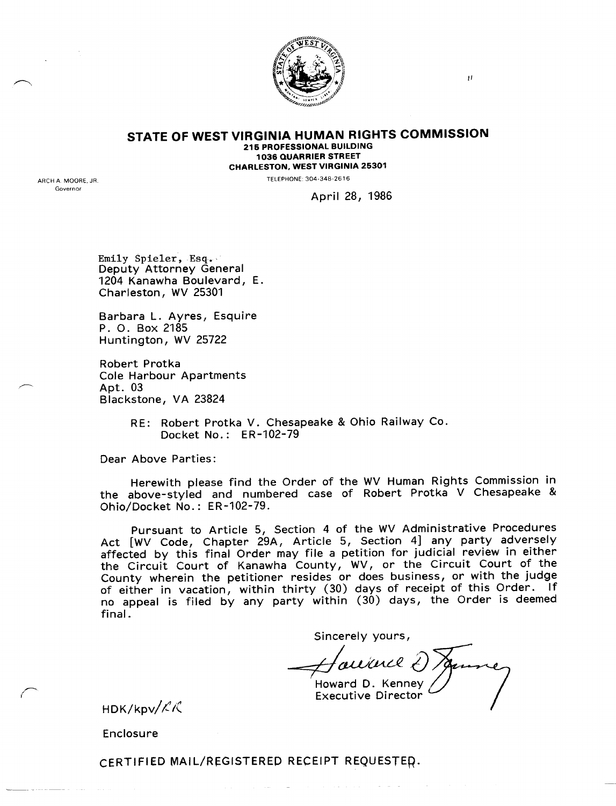

### **STATE OF WEST VIRGINIA HUMAN RIGHTS COMMISSION** 215 PROFESSIONAL BUILDING 1036 QUARRIER STREET

CHARLESTON. WEST VIRGINIA 25301

TELEPHONE: 304-348-2616

ARCH A. MOORE, JR. Governor

April 28, 1986

 $\boldsymbol{\mu}$ 

Emily Spieler, Esq. Deputy Attorney General 1204 Kanawha Boulevard, E. Charleston, WV 25301

Barbara L. Ayres, Esquire P. O. Box 2185 Huntington, WV 25722

Robert Protka Cole Harbour Apartments Apt. 03 Blackstone, VA 23824

> RE: Robert Protka V. Chesapeake & Ohio Railway Co. Docket No.: ER-102-79

Dear Above Parties:

Herewith please find the Order of the WV Human Rights Commission in the above-styled and numbered case of Robert Protka V Chesapeake & Ohio/Docket No.: ER-102-79.

Pursuant to Article 5, Section 4 of the WV Administrative Procedures Act [WV Code, Chapter 29A, Article 5, Section 4] any party adversely affected by this final Order may file a petition for judicial review in eith the Circuit Court of Kanawha County, WV, or the Circuit Court of th County wherein the petitioner resides or does business, or with the judge of either in vacation, within thirty (30) days of receipt of this Order. If no appeal is filed by any party within (30) days, the Order is deemed final.

Sincerely yours, *-=t:I~f)* Howard D. Kenney Executive Director

 $HDK/kpv/KK$ 

Enclosure

CERTIFIED MAIL/REGISTERED RECEIPT REQUESTED.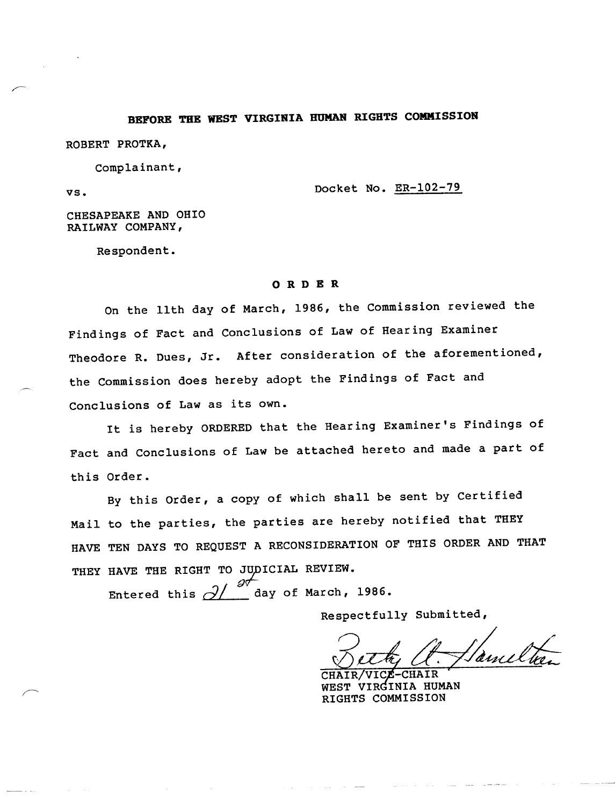# BEFORE THE WEST VIRGINIA HUMAN RIGHTS COMMISSION

ROBERT PROTKA,

Complainant,

VS.

Docket No. ER-102-79

CHESAPEAKE AND OHIO RAILWAY COMPANY,

Respondent.

# ORDER

On the 11th day of March, 1986, the Commission reviewed the Findings of Fact and Conclusions of Law of Hearing Examiner Theodore R. Dues, Jr. After consideration of the aforementioned, the Commission does hereby adopt the Findings of Fact and Conclusions of Law as its own.

It is hereby ORDERED that the Hearing Examiner's Findings of Fact and Conclusions of Law be attached hereto and made a part of this Order.

By this Order, a copy of which shall be sent by Certified Mail to the parties, the parties are hereby notified that THEY HAVE TEN DAYS TO REQUEST A RECONSIDERATION OF THIS ORDER AND THAT THEY HAVE THE RIGHT TO JUDICIAL REVIEW.

Entered this  $\frac{\partial f}{\partial x}$  day of March, 1986.

Respectfully Submitted,

amil

**CHAIR** WEST VIRGINIA HUMAN RIGHTS COMMISSION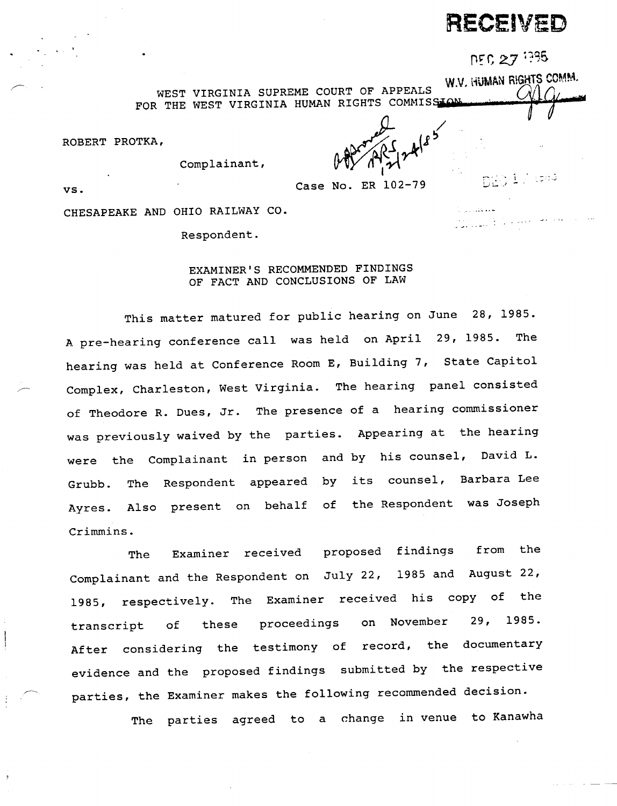**RECEI'/ED**

f\~~ 2:J ·?9S

WEST VIRGINIA SUPREME COURT OF APPEALS .. ~ W.V. HUMAN RIGHTS COMM.<br>OR THE WEST VIRGINIA HUMAN RIGHTS COMMISSION. W.V. HUMAN RIGHTS COMM.

ROBERT PROTKA,

*~~(S(*

redû

Complainant,

vs.

Case No. ER 102-79

CHESAPEAKE AND OHIO RAILWAY CO.

Respondent.

EXAMINER'S RECOMMENDED FINDINGS OF FACT AND CONCLUSIONS OF LAW

This matter matured for public hearing on June 28, 1985. A pre-hearing conference call was held on April 29, 1985. The hearing was held at Conference Room E, Building 7, State Capitol Complex, Charleston, West Virginia. The hearing panel consisted of Theodore R. Dues, Jr. The presence of a hearing commissioner was previously waived by the parties. Appearing at the hearing were the Complainant in person and by his counsel, David L. Grubb. The Respondent appeared by its counsel, Barbara Lee Ayres. Also present on behalf of the Respondent was Joseph Crimmins.

Examiner received proposed findings from the **The** Complainant and the Respondent on July 22, 1985 and August 22, 1985, respectively. The Examiner received his copy of the 29, 1985. these proceedings on November of transcript After considering the testimony of record, the documentary evidence and the proposed findings submitted by the respective parties, the Examiner makes the following recommended decision.

The parties agreed to a change in venue to Kanawha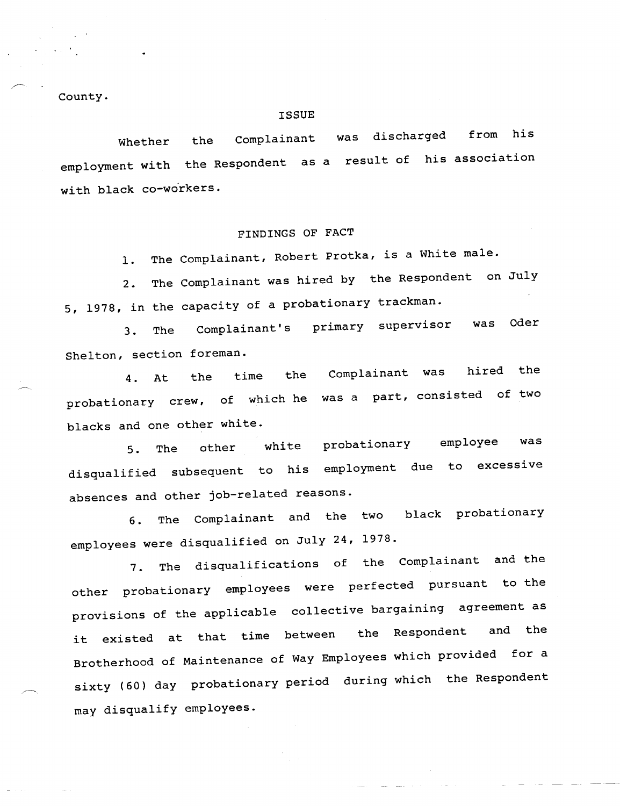County.

### ISSUE

his ether the Complainant was discharged from ployment with the Respondent as a result of his association with black co-workers.

# FINDINGS OF FACT

1. The Complainant, Robert Protka, is a White male.

2. The Complainant was hired by the Respondent on July 5, 1978, in the capacity of a probationary trackman.

3. The Complainant's primary supervisor was Oder Shelton, section foreman.

4. At the time the probationary crew, blacks and one other white. Complainant was hired the of which he was a part, consisted of two

5. The other white probationary isqualified subsequent to his employment due to excessiv absences and other job-related reasons. employee was

black probationary 6. The Complainant and the two employees were disqualified on July 24, 1978.

7. The disqualifications of the Complainant and the other probationary employees were perfected pursuant to the provisions of the applicable collective bargaining agreement as it existed at that time between the Respondent and the Brotherhood of Maintenance of Way Employees which provided for a sixty (60) day probationary period during which the Respondent may disqualify employees.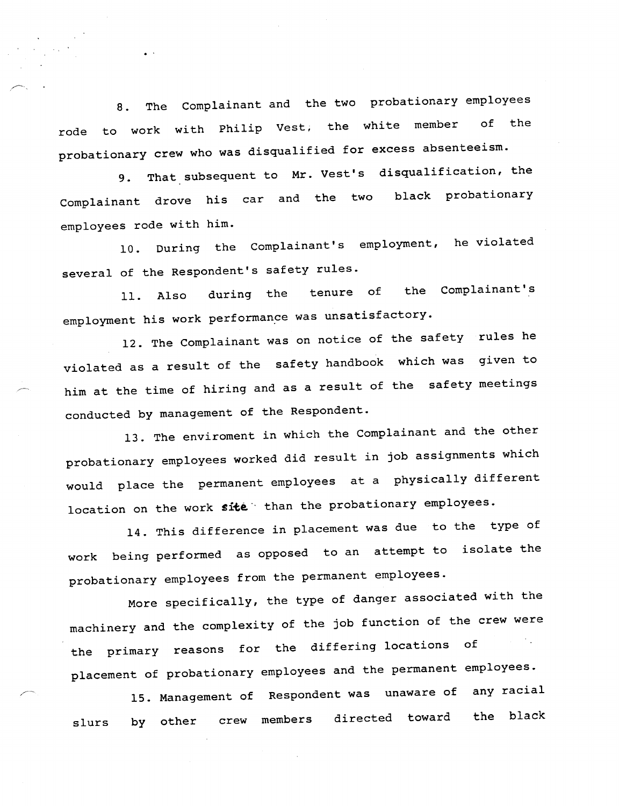8. The Complainant and the two probationary employees rode to work with Philip Vest; the white member of the probationary crew who was disqualified for excess absenteeism.

9. That subsequent to Mr. Vest's disqualification, the Complainant drove his car and the two black probationary employees rode with him.

10. During the Complainant's employment, he violated several of the Respondent's safety rules.

11. Also during the tenure of the Complainant's employment his work performance was unsatisfactory.

12. The Complainant was on notice of the safety rules he violated as a result of the safety handbook which was given to him at the time of hiring and as a result of the safety meetings conducted by management of the Respondent.

13. The enviroment in which the Complainant and the other probationary employees worked did result in job assignments which would place the permanent employees at a physically different location on the work site than the probationary employees.

14. This difference in placement was due to the type of work being performed as opposed to an attempt to isolate the probationary employees from the permanent employees.

More specifically, the type of danger associated with the machinery and the complexity of the job function of the crew were the primary reasons for the differing locations of placement of probationary employees and the permanent employees.

15. Management of Respondent was unaware of any racial slurs by other crew members directed toward the black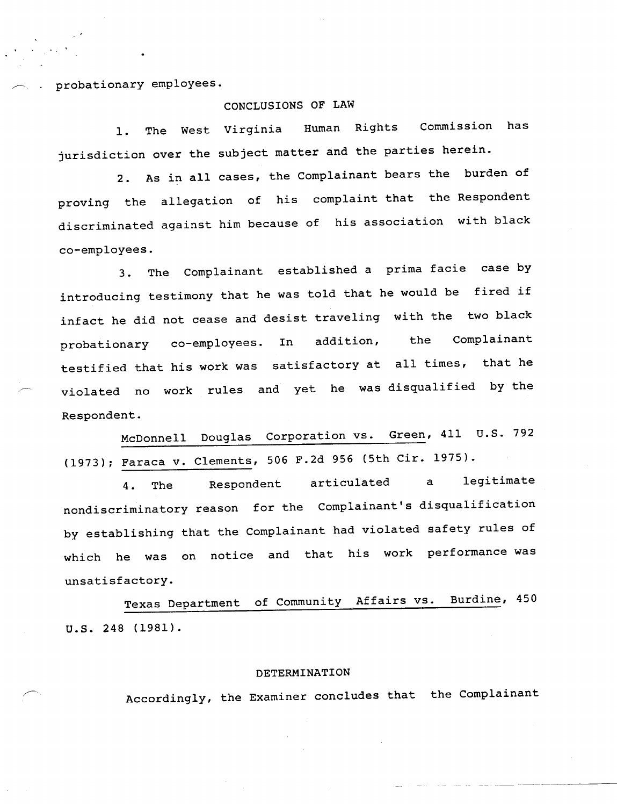probationary employees.

# CONCLUSIONS OF LAW

1. The West Virginia Human Rights Commission has jurisdiction over the subject matter and the parties herein.

2. As in all cases, the Complainant bears the burden of proving the allegation of his complaint that the Respondent discriminated against him because of his association with black co-employees.

3. The Complainant established a prima facie case by introducing testimony that he was told that he would be fired if infact he did not cease and desist traveling with the two black probationary co-employees. In addition, the Complainant testified that his work was satisfactory at all times, that he violated no work rules and yet he was disqualified by the Respondent.

McDonnell Douglas Corporation vs. Green, 411 U.S. 792 (1973); Faraca v. Clements, 506 F.2d 956 (5th Cir. 1975).

4. The Respondent articulated a legitimate nondiscriminatory reason for the Complainant's disqualification by establishing that the Complainant had violated safety rules of which he was on notice and that his work performance was unsatisfactory.

Texas Department of Community Affairs vs. Burdine, 450 U.S. 248 (1981).

#### DETERMINATION

Accordingly, the Examiner concludes that the Complainant